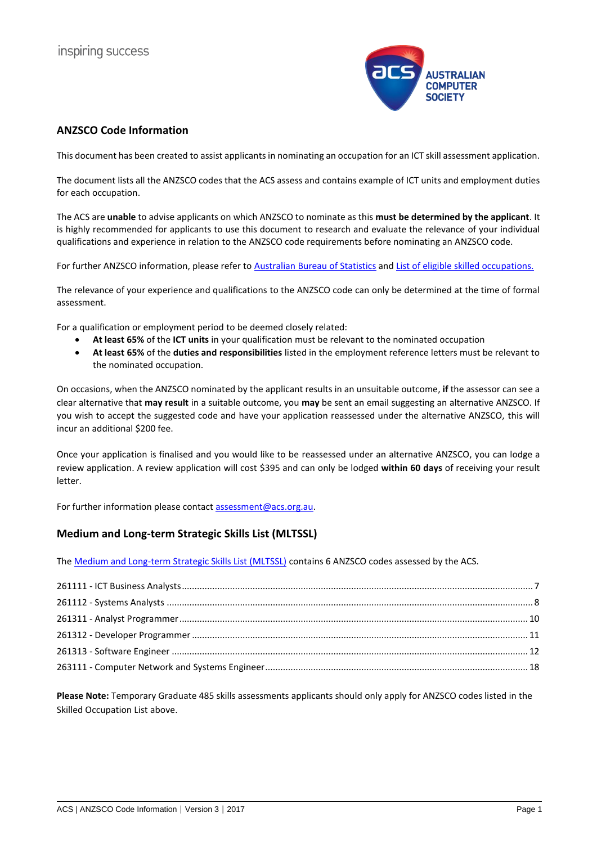

# <span id="page-0-0"></span>**ANZSCO Code Information**

This document has been created to assist applicants in nominating an occupation for an ICT skill assessment application.

The document lists all the ANZSCO codes that the ACS assess and contains example of ICT units and employment duties for each occupation.

The ACS are **unable** to advise applicants on which ANZSCO to nominate as this **must be determined by the applicant**. It is highly recommended for applicants to use this document to research and evaluate the relevance of your individual qualifications and experience in relation to the ANZSCO code requirements before nominating an ANZSCO code.

For further ANZSCO information, please refer to [Australian Bureau of](http://www.abs.gov.au/ausstats/abs@.nsf/Latestproducts/1220.0Search02013,%20Version%201.2?opendocument&tabname=Summary&prodno=1220.0&issue=2013,%20Version%201.2&num=&view=) Statistics and [List of eligible skilled occupations.](https://www.border.gov.au/Trav/Work/Work/Skills-assessment-and-assessing-authorities/skilled-occupations-lists)

The relevance of your experience and qualifications to the ANZSCO code can only be determined at the time of formal assessment.

For a qualification or employment period to be deemed closely related:

- **At least 65%** of the **ICT units** in your qualification must be relevant to the nominated occupation
- **At least 65%** of the **duties and responsibilities** listed in the employment reference letters must be relevant to the nominated occupation.

On occasions, when the ANZSCO nominated by the applicant results in an unsuitable outcome, **if** the assessor can see a clear alternative that **may result** in a suitable outcome, you **may** be sent an email suggesting an alternative ANZSCO. If you wish to accept the suggested code and have your application reassessed under the alternative ANZSCO, this will incur an additional \$200 fee.

Once your application is finalised and you would like to be reassessed under an alternative ANZSCO, you can lodge a review application. A review application will cost \$395 and can only be lodged **within 60 days** of receiving your result letter.

For further information please contact [assessment@acs.org.au.](mailto:assessment@acs.org.au)

# **Medium and Long-term Strategic Skills List (MLTSSL)**

The [Medium and Long-term Strategic Skills List \(MLTSSL\)](https://www.border.gov.au/Trav/Work/Work/Skills-assessment-and-assessing-authorities/skilled-occupations-lists/mltssl) contains 6 ANZSCO codes assessed by the ACS.

**Please Note:** Temporary Graduate 485 skills assessments applicants should only apply for ANZSCO codes listed in the Skilled Occupation List above.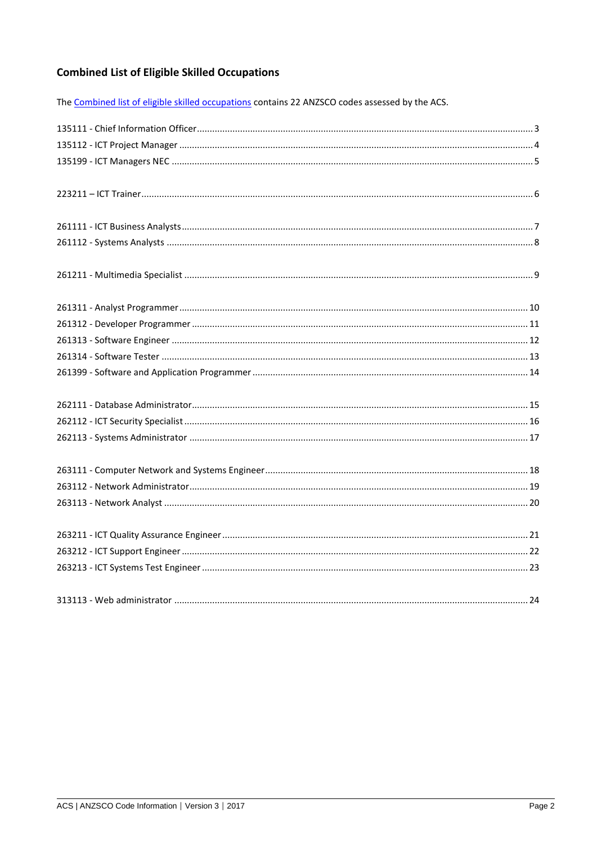# **Combined List of Eligible Skilled Occupations**

The Combined list of eligible skilled occupations contains 22 ANZSCO codes assessed by the ACS.

<span id="page-1-0"></span>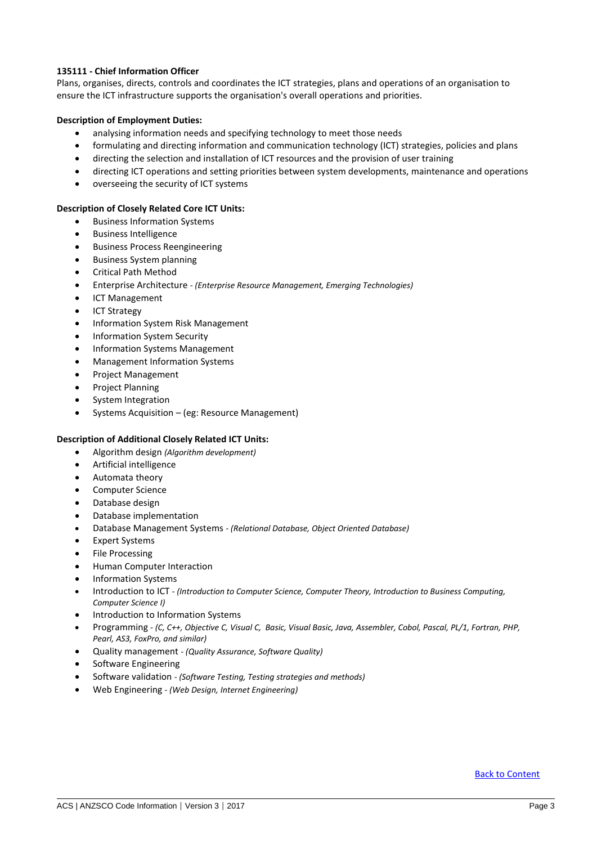# **135111 - Chief Information Officer**

Plans, organises, directs, controls and coordinates the ICT strategies, plans and operations of an organisation to ensure the ICT infrastructure supports the organisation's overall operations and priorities.

# **Description of Employment Duties:**

- analysing information needs and specifying technology to meet those needs
- formulating and directing information and communication technology (ICT) strategies, policies and plans
- directing the selection and installation of ICT resources and the provision of user training
- directing ICT operations and setting priorities between system developments, maintenance and operations
- overseeing the security of ICT systems

### **Description of Closely Related Core ICT Units:**

- Business Information Systems
- Business Intelligence
- **•** Business Process Reengineering
- Business System planning
- Critical Path Method
- Enterprise Architecture *- (Enterprise Resource Management, Emerging Technologies)*
- ICT Management
- ICT Strategy
- Information System Risk Management
- Information System Security
- Information Systems Management
- Management Information Systems
- Project Management
- Project Planning
- System Integration
- Systems Acquisition (eg: Resource Management)

### **Description of Additional Closely Related ICT Units:**

- Algorithm design *(Algorithm development)*
- Artificial intelligence
- Automata theory
- Computer Science
- Database design
- Database implementation
- Database Management Systems *- (Relational Database, Object Oriented Database)*
- Expert Systems
- File Processing
- Human Computer Interaction
- Information Systems
- Introduction to ICT *- (Introduction to Computer Science, Computer Theory, Introduction to Business Computing, Computer Science I)*
- Introduction to Information Systems
- Programming *- (C, C++, Objective C, Visual C, Basic, Visual Basic, Java, Assembler, Cobol, Pascal, PL/1, Fortran, PHP, Pearl, AS3, FoxPro, and similar)*
- Quality management *- (Quality Assurance, Software Quality)*
- Software Engineering
- Software validation *- (Software Testing, Testing strategies and methods)*
- Web Engineering *- (Web Design, Internet Engineering)*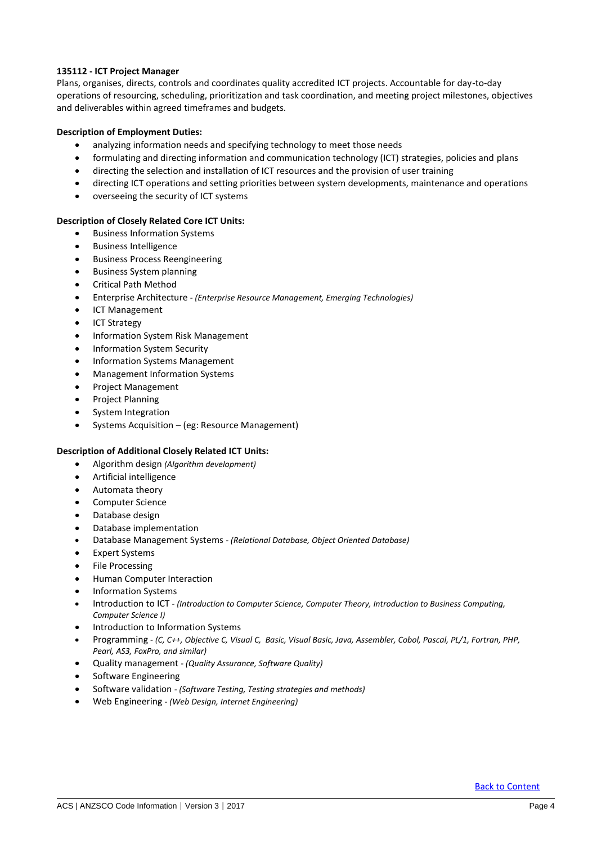# <span id="page-3-0"></span>**135112 - ICT Project Manager**

Plans, organises, directs, controls and coordinates quality accredited ICT projects. Accountable for day-to-day operations of resourcing, scheduling, prioritization and task coordination, and meeting project milestones, objectives and deliverables within agreed timeframes and budgets.

# **Description of Employment Duties:**

- analyzing information needs and specifying technology to meet those needs
- formulating and directing information and communication technology (ICT) strategies, policies and plans
- directing the selection and installation of ICT resources and the provision of user training
- directing ICT operations and setting priorities between system developments, maintenance and operations
- overseeing the security of ICT systems

# **Description of Closely Related Core ICT Units:**

- Business Information Systems
- Business Intelligence
- **•** Business Process Reengineering
- Business System planning
- Critical Path Method
- Enterprise Architecture *- (Enterprise Resource Management, Emerging Technologies)*
- **•** ICT Management
- ICT Strategy
- Information System Risk Management
- Information System Security
- Information Systems Management
- Management Information Systems
- Project Management
- Project Planning
- System Integration
- Systems Acquisition (eg: Resource Management)

- Algorithm design *(Algorithm development)*
- Artificial intelligence
- Automata theory
- Computer Science
- Database design
- Database implementation
- Database Management Systems *- (Relational Database, Object Oriented Database)*
- Expert Systems
- File Processing
- Human Computer Interaction
- Information Systems
- Introduction to ICT *- (Introduction to Computer Science, Computer Theory, Introduction to Business Computing, Computer Science I)*
- Introduction to Information Systems
- Programming *- (C, C++, Objective C, Visual C, Basic, Visual Basic, Java, Assembler, Cobol, Pascal, PL/1, Fortran, PHP, Pearl, AS3, FoxPro, and similar)*
- Quality management *- (Quality Assurance, Software Quality)*
- Software Engineering
- Software validation *- (Software Testing, Testing strategies and methods)*
- Web Engineering *- (Web Design, Internet Engineering)*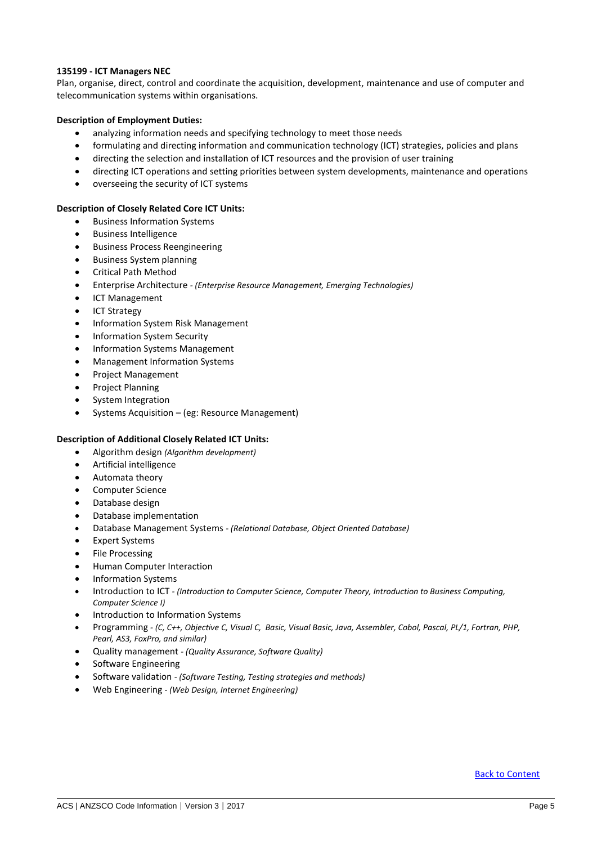# <span id="page-4-0"></span>**135199 - ICT Managers NEC**

Plan, organise, direct, control and coordinate the acquisition, development, maintenance and use of computer and telecommunication systems within organisations.

# **Description of Employment Duties:**

- analyzing information needs and specifying technology to meet those needs
- formulating and directing information and communication technology (ICT) strategies, policies and plans
- directing the selection and installation of ICT resources and the provision of user training
- directing ICT operations and setting priorities between system developments, maintenance and operations
- overseeing the security of ICT systems

### **Description of Closely Related Core ICT Units:**

- **•** Business Information Systems
- Business Intelligence
- **•** Business Process Reengineering
- Business System planning
- Critical Path Method
- Enterprise Architecture *- (Enterprise Resource Management, Emerging Technologies)*
- ICT Management
- ICT Strategy
- Information System Risk Management
- Information System Security
- Information Systems Management
- Management Information Systems
- Project Management
- Project Planning
- System Integration
- Systems Acquisition (eg: Resource Management)

### **Description of Additional Closely Related ICT Units:**

- Algorithm design *(Algorithm development)*
- Artificial intelligence
- Automata theory
- Computer Science
- Database design
- Database implementation
- Database Management Systems *- (Relational Database, Object Oriented Database)*
- Expert Systems
- File Processing
- Human Computer Interaction
- Information Systems
- Introduction to ICT *- (Introduction to Computer Science, Computer Theory, Introduction to Business Computing, Computer Science I)*
- Introduction to Information Systems
- Programming *- (C, C++, Objective C, Visual C, Basic, Visual Basic, Java, Assembler, Cobol, Pascal, PL/1, Fortran, PHP, Pearl, AS3, FoxPro, and similar)*
- Quality management *- (Quality Assurance, Software Quality)*
- Software Engineering
- Software validation *- (Software Testing, Testing strategies and methods)*
- Web Engineering *- (Web Design, Internet Engineering)*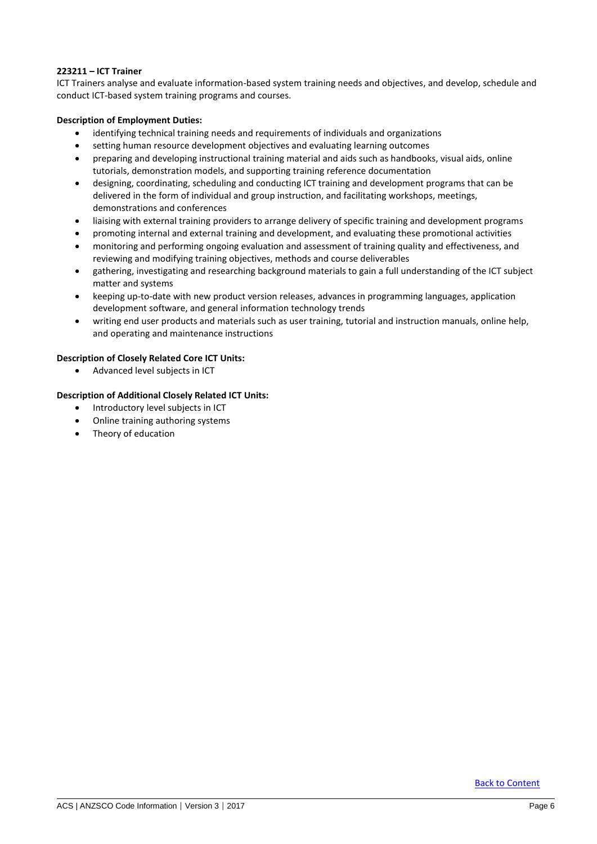# <span id="page-5-0"></span>**223211 – ICT Trainer**

ICT Trainers analyse and evaluate information-based system training needs and objectives, and develop, schedule and conduct ICT-based system training programs and courses.

# **Description of Employment Duties:**

- identifying technical training needs and requirements of individuals and organizations
- setting human resource development objectives and evaluating learning outcomes
- preparing and developing instructional training material and aids such as handbooks, visual aids, online tutorials, demonstration models, and supporting training reference documentation
- designing, coordinating, scheduling and conducting ICT training and development programs that can be delivered in the form of individual and group instruction, and facilitating workshops, meetings, demonstrations and conferences
- liaising with external training providers to arrange delivery of specific training and development programs
- promoting internal and external training and development, and evaluating these promotional activities
- monitoring and performing ongoing evaluation and assessment of training quality and effectiveness, and reviewing and modifying training objectives, methods and course deliverables
- gathering, investigating and researching background materials to gain a full understanding of the ICT subject matter and systems
- keeping up-to-date with new product version releases, advances in programming languages, application development software, and general information technology trends
- writing end user products and materials such as user training, tutorial and instruction manuals, online help, and operating and maintenance instructions

# **Description of Closely Related Core ICT Units:**

Advanced level subjects in ICT

- Introductory level subjects in ICT
- Online training authoring systems
- Theory of education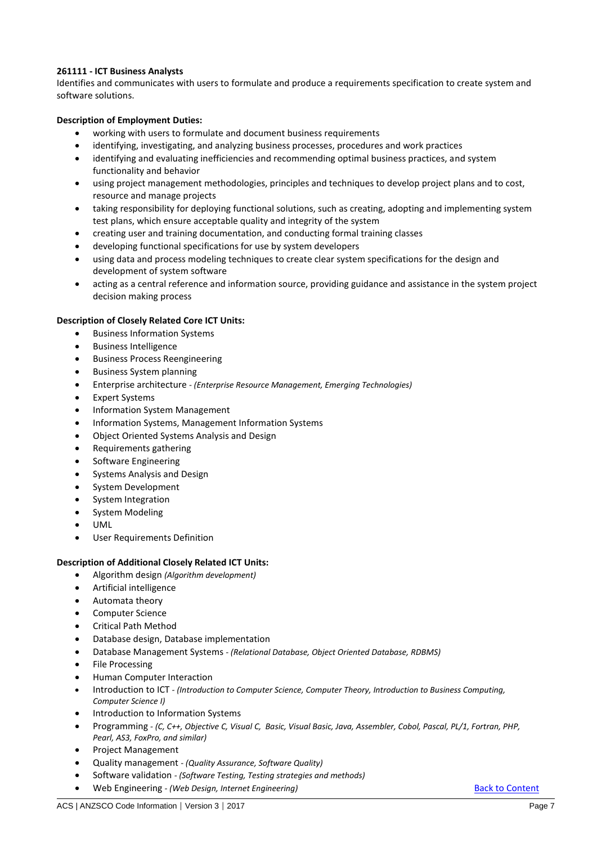# <span id="page-6-0"></span>**261111 - ICT Business Analysts**

Identifies and communicates with users to formulate and produce a requirements specification to create system and software solutions.

# **Description of Employment Duties:**

- working with users to formulate and document business requirements
- identifying, investigating, and analyzing business processes, procedures and work practices
- identifying and evaluating inefficiencies and recommending optimal business practices, and system functionality and behavior
- using project management methodologies, principles and techniques to develop project plans and to cost, resource and manage projects
- taking responsibility for deploying functional solutions, such as creating, adopting and implementing system test plans, which ensure acceptable quality and integrity of the system
- creating user and training documentation, and conducting formal training classes
- developing functional specifications for use by system developers
- using data and process modeling techniques to create clear system specifications for the design and development of system software
- acting as a central reference and information source, providing guidance and assistance in the system project decision making process

# **Description of Closely Related Core ICT Units:**

- **•** Business Information Systems
- Business Intelligence
- **•** Business Process Reengineering
- Business System planning
- Enterprise architecture *- (Enterprise Resource Management, Emerging Technologies)*
- Expert Systems
- Information System Management
- Information Systems, Management Information Systems
- Object Oriented Systems Analysis and Design
- Requirements gathering
- Software Engineering
- Systems Analysis and Design
- System Development
- System Integration
- System Modeling
- UML
- User Requirements Definition

- Algorithm design *(Algorithm development)*
- Artificial intelligence
- Automata theory
- Computer Science
- Critical Path Method
- Database design, Database implementation
- Database Management Systems *- (Relational Database, Object Oriented Database, RDBMS)*
- File Processing
- Human Computer Interaction
- Introduction to ICT *- (Introduction to Computer Science, Computer Theory, Introduction to Business Computing, Computer Science I)*
- **•** Introduction to Information Systems
- Programming *- (C, C++, Objective C, Visual C, Basic, Visual Basic, Java, Assembler, Cobol, Pascal, PL/1, Fortran, PHP, Pearl, AS3, FoxPro, and similar)*
- Project Management
- Quality management *- (Quality Assurance, Software Quality)*
- Software validation *- (Software Testing, Testing strategies and methods)*
- Web Engineering *- (Web Design, Internet Engineering)* [Back to Content](#page-0-0)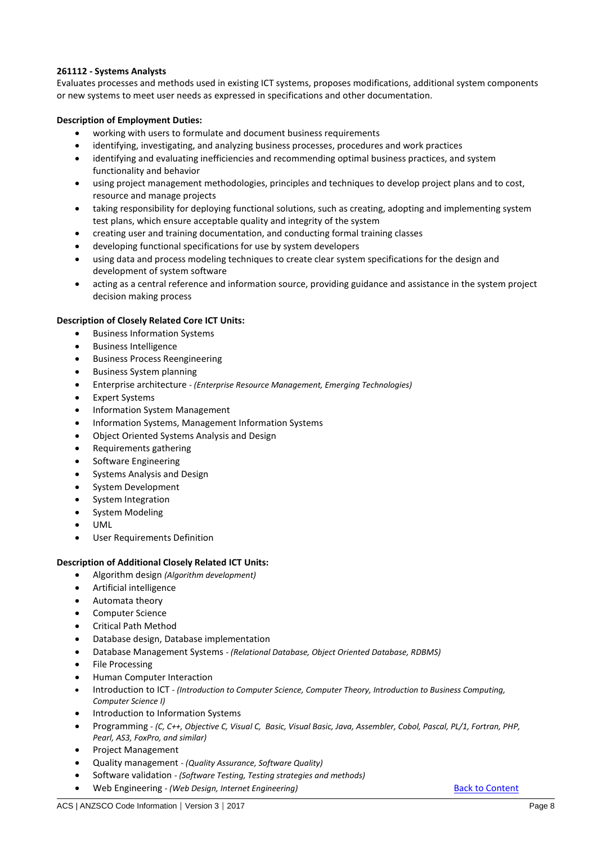# <span id="page-7-0"></span>**261112 - Systems Analysts**

Evaluates processes and methods used in existing ICT systems, proposes modifications, additional system components or new systems to meet user needs as expressed in specifications and other documentation.

# **Description of Employment Duties:**

- working with users to formulate and document business requirements
- identifying, investigating, and analyzing business processes, procedures and work practices
- identifying and evaluating inefficiencies and recommending optimal business practices, and system functionality and behavior
- using project management methodologies, principles and techniques to develop project plans and to cost, resource and manage projects
- taking responsibility for deploying functional solutions, such as creating, adopting and implementing system test plans, which ensure acceptable quality and integrity of the system
- creating user and training documentation, and conducting formal training classes
- developing functional specifications for use by system developers
- using data and process modeling techniques to create clear system specifications for the design and development of system software
- acting as a central reference and information source, providing guidance and assistance in the system project decision making process

# **Description of Closely Related Core ICT Units:**

- **•** Business Information Systems
- Business Intelligence
- **•** Business Process Reengineering
- Business System planning
- Enterprise architecture *- (Enterprise Resource Management, Emerging Technologies)*
- Expert Systems
- Information System Management
- Information Systems, Management Information Systems
- Object Oriented Systems Analysis and Design
- Requirements gathering
- Software Engineering
- Systems Analysis and Design
- System Development
- System Integration
- System Modeling
- UML
- User Requirements Definition

- Algorithm design *(Algorithm development)*
- Artificial intelligence
- Automata theory
- Computer Science
- Critical Path Method
- Database design, Database implementation
- Database Management Systems *- (Relational Database, Object Oriented Database, RDBMS)*
- File Processing
- Human Computer Interaction
- Introduction to ICT *- (Introduction to Computer Science, Computer Theory, Introduction to Business Computing, Computer Science I)*
- Introduction to Information Systems
- Programming *- (C, C++, Objective C, Visual C, Basic, Visual Basic, Java, Assembler, Cobol, Pascal, PL/1, Fortran, PHP, Pearl, AS3, FoxPro, and similar)*
- Project Management
- Quality management *- (Quality Assurance, Software Quality)*
- Software validation *- (Software Testing, Testing strategies and methods)*
- **•** Web Engineering *- (Web Design, Internet Engineering)* [Back to Content](#page-0-0)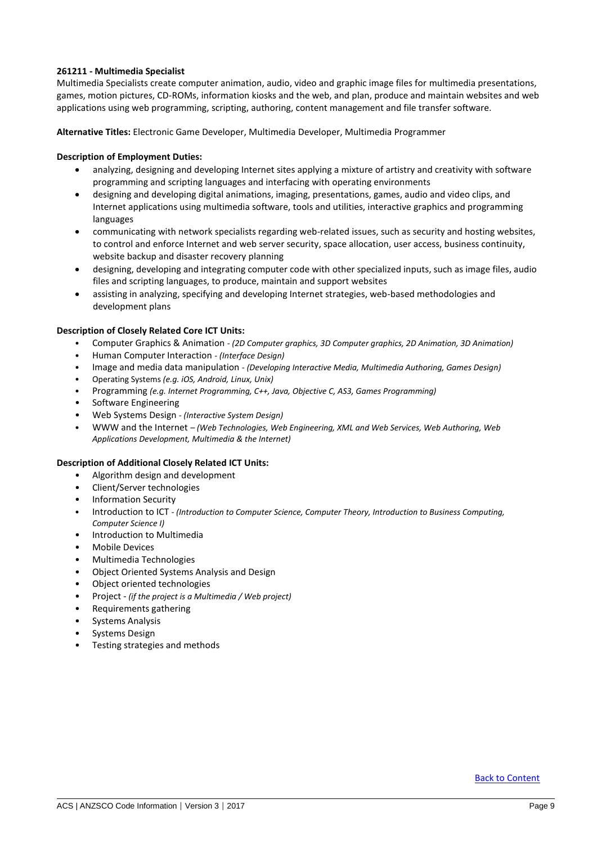# <span id="page-8-0"></span>**261211 - Multimedia Specialist**

Multimedia Specialists create computer animation, audio, video and graphic image files for multimedia presentations, games, motion pictures, CD-ROMs, information kiosks and the web, and plan, produce and maintain websites and web applications using web programming, scripting, authoring, content management and file transfer software.

**Alternative Titles:** Electronic Game Developer, Multimedia Developer, Multimedia Programmer

### **Description of Employment Duties:**

- analyzing, designing and developing Internet sites applying a mixture of artistry and creativity with software programming and scripting languages and interfacing with operating environments
- designing and developing digital animations, imaging, presentations, games, audio and video clips, and Internet applications using multimedia software, tools and utilities, interactive graphics and programming languages
- communicating with network specialists regarding web-related issues, such as security and hosting websites, to control and enforce Internet and web server security, space allocation, user access, business continuity, website backup and disaster recovery planning
- designing, developing and integrating computer code with other specialized inputs, such as image files, audio files and scripting languages, to produce, maintain and support websites
- assisting in analyzing, specifying and developing Internet strategies, web-based methodologies and development plans

### **Description of Closely Related Core ICT Units:**

- Computer Graphics & Animation *- (2D Computer graphics, 3D Computer graphics, 2D Animation, 3D Animation)*
- Human Computer Interaction *- (Interface Design)*
- Image and media data manipulation *- (Developing Interactive Media, Multimedia Authoring, Games Design)*
- Operating Systems *(e.g. iOS, Android, Linux, Unix)*
- Programming *(e.g. Internet Programming, C++, Java, Objective C, AS3, Games Programming)*
- Software Engineering
- Web Systems Design *- (Interactive System Design)*
- WWW and the Internet *– (Web Technologies, Web Engineering, XML and Web Services, Web Authoring, Web Applications Development, Multimedia & the Internet)*

- Algorithm design and development
- Client/Server technologies
- Information Security
- Introduction to ICT *- (Introduction to Computer Science, Computer Theory, Introduction to Business Computing, Computer Science I)*
- Introduction to Multimedia
- Mobile Devices
- Multimedia Technologies
- Object Oriented Systems Analysis and Design
- Object oriented technologies
- Project *(if the project is a Multimedia / Web project)*
- Requirements gathering
- Systems Analysis
- Systems Design
- Testing strategies and methods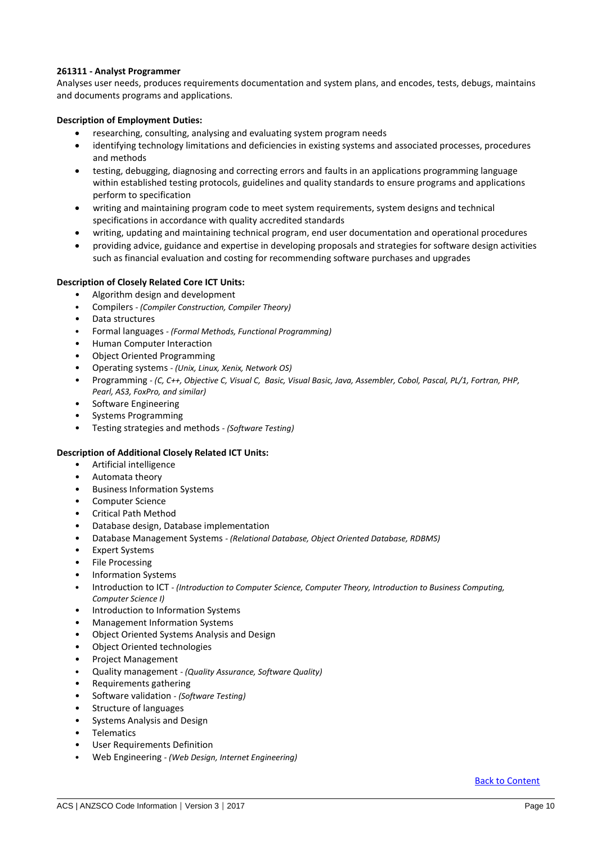# <span id="page-9-0"></span>**261311 - Analyst Programmer**

Analyses user needs, produces requirements documentation and system plans, and encodes, tests, debugs, maintains and documents programs and applications.

# **Description of Employment Duties:**

- researching, consulting, analysing and evaluating system program needs
- identifying technology limitations and deficiencies in existing systems and associated processes, procedures and methods
- testing, debugging, diagnosing and correcting errors and faults in an applications programming language within established testing protocols, guidelines and quality standards to ensure programs and applications perform to specification
- writing and maintaining program code to meet system requirements, system designs and technical specifications in accordance with quality accredited standards
- writing, updating and maintaining technical program, end user documentation and operational procedures
- providing advice, guidance and expertise in developing proposals and strategies for software design activities such as financial evaluation and costing for recommending software purchases and upgrades

# **Description of Closely Related Core ICT Units:**

- Algorithm design and development
- Compilers *- (Compiler Construction, Compiler Theory)*
- Data structures
- Formal languages *- (Formal Methods, Functional Programming)*
- Human Computer Interaction
- Object Oriented Programming
- Operating systems *- (Unix, Linux, Xenix, Network OS)*
- Programming *- (C, C++, Objective C, Visual C, Basic, Visual Basic, Java, Assembler, Cobol, Pascal, PL/1, Fortran, PHP, Pearl, AS3, FoxPro, and similar)*
- Software Engineering
- Systems Programming
- Testing strategies and methods *- (Software Testing)*

# **Description of Additional Closely Related ICT Units:**

- Artificial intelligence
- Automata theory
- Business Information Systems
- Computer Science
- Critical Path Method
- Database design, Database implementation
- Database Management Systems *- (Relational Database, Object Oriented Database, RDBMS)*
- Expert Systems
- File Processing
- Information Systems
- Introduction to ICT *- (Introduction to Computer Science, Computer Theory, Introduction to Business Computing, Computer Science I)*
- Introduction to Information Systems
- Management Information Systems
- Object Oriented Systems Analysis and Design
- Object Oriented technologies
- Project Management
- Quality management *- (Quality Assurance, Software Quality)*
- Requirements gathering
- Software validation *- (Software Testing)*
- Structure of languages
- Systems Analysis and Design
- Telematics
- User Requirements Definition
- Web Engineering *- (Web Design, Internet Engineering)*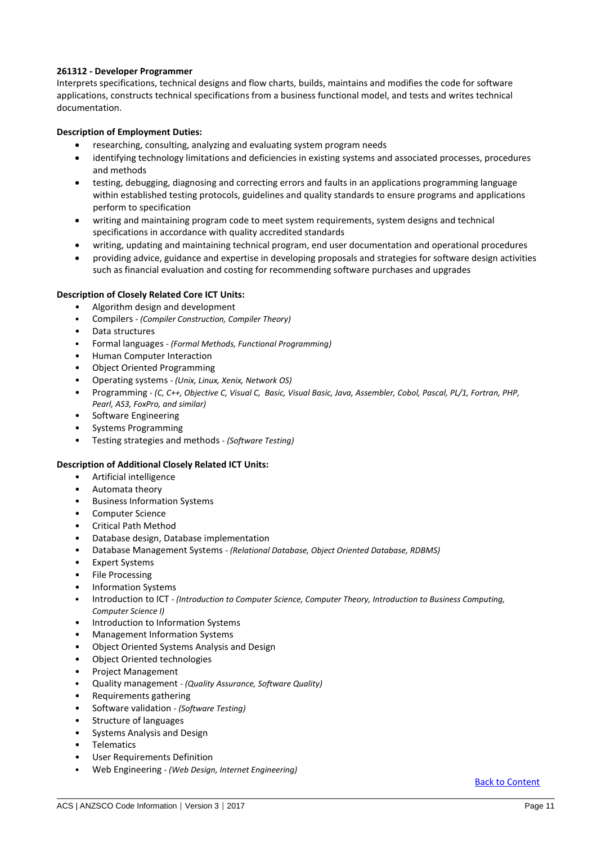# <span id="page-10-0"></span>**261312 - Developer Programmer**

Interprets specifications, technical designs and flow charts, builds, maintains and modifies the code for software applications, constructs technical specifications from a business functional model, and tests and writes technical documentation.

# **Description of Employment Duties:**

- researching, consulting, analyzing and evaluating system program needs
- identifying technology limitations and deficiencies in existing systems and associated processes, procedures and methods
- testing, debugging, diagnosing and correcting errors and faults in an applications programming language within established testing protocols, guidelines and quality standards to ensure programs and applications perform to specification
- writing and maintaining program code to meet system requirements, system designs and technical specifications in accordance with quality accredited standards
- writing, updating and maintaining technical program, end user documentation and operational procedures
- providing advice, guidance and expertise in developing proposals and strategies for software design activities such as financial evaluation and costing for recommending software purchases and upgrades

### **Description of Closely Related Core ICT Units:**

- Algorithm design and development
- Compilers *- (Compiler Construction, Compiler Theory)*
- Data structures
- Formal languages *- (Formal Methods, Functional Programming)*
- Human Computer Interaction
- Object Oriented Programming
- Operating systems *- (Unix, Linux, Xenix, Network OS)*
- Programming *- (C, C++, Objective C, Visual C, Basic, Visual Basic, Java, Assembler, Cobol, Pascal, PL/1, Fortran, PHP, Pearl, AS3, FoxPro, and similar)*
- Software Engineering
- Systems Programming
- Testing strategies and methods *- (Software Testing)*

### **Description of Additional Closely Related ICT Units:**

- Artificial intelligence
- Automata theory
- Business Information Systems
- Computer Science
- Critical Path Method
- Database design, Database implementation
- Database Management Systems *- (Relational Database, Object Oriented Database, RDBMS)*
- **Expert Systems**
- File Processing
- Information Systems
- Introduction to ICT *- (Introduction to Computer Science, Computer Theory, Introduction to Business Computing, Computer Science I)*
- Introduction to Information Systems
- Management Information Systems
- Object Oriented Systems Analysis and Design
- Object Oriented technologies
- Project Management
- Quality management *- (Quality Assurance, Software Quality)*
- Requirements gathering
- Software validation *- (Software Testing)*
- Structure of languages
- Systems Analysis and Design
- **Telematics**
- User Requirements Definition
- Web Engineering *- (Web Design, Internet Engineering)*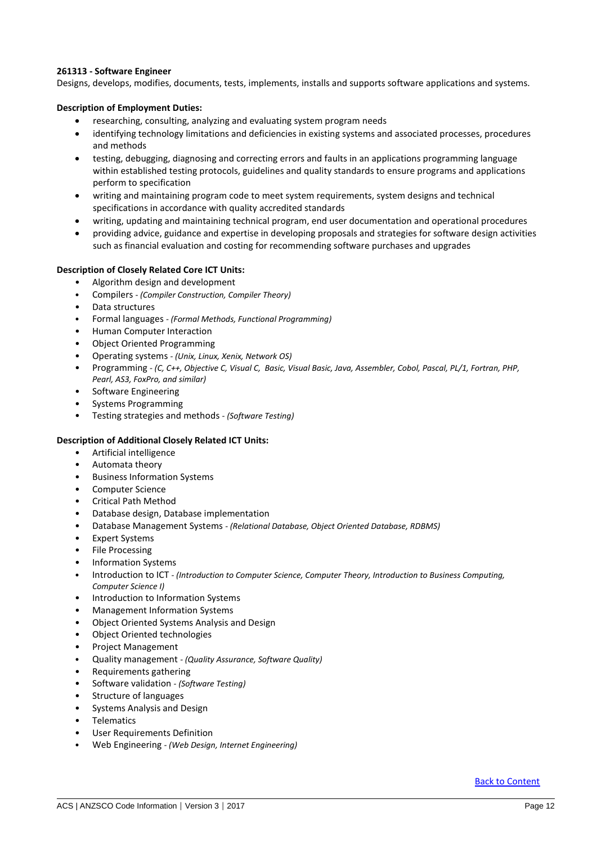# <span id="page-11-0"></span>**261313 - Software Engineer**

Designs, develops, modifies, documents, tests, implements, installs and supports software applications and systems.

#### **Description of Employment Duties:**

- researching, consulting, analyzing and evaluating system program needs
- identifying technology limitations and deficiencies in existing systems and associated processes, procedures and methods
- testing, debugging, diagnosing and correcting errors and faults in an applications programming language within established testing protocols, guidelines and quality standards to ensure programs and applications perform to specification
- writing and maintaining program code to meet system requirements, system designs and technical specifications in accordance with quality accredited standards
- writing, updating and maintaining technical program, end user documentation and operational procedures
- providing advice, guidance and expertise in developing proposals and strategies for software design activities such as financial evaluation and costing for recommending software purchases and upgrades

#### **Description of Closely Related Core ICT Units:**

- Algorithm design and development
- Compilers *- (Compiler Construction, Compiler Theory)*
- Data structures
- Formal languages *- (Formal Methods, Functional Programming)*
- Human Computer Interaction
- Object Oriented Programming
- Operating systems *- (Unix, Linux, Xenix, Network OS)*
- Programming *- (C, C++, Objective C, Visual C, Basic, Visual Basic, Java, Assembler, Cobol, Pascal, PL/1, Fortran, PHP, Pearl, AS3, FoxPro, and similar)*
- Software Engineering
- Systems Programming
- Testing strategies and methods *- (Software Testing)*

- Artificial intelligence
- Automata theory
- Business Information Systems
- Computer Science
- Critical Path Method
- Database design, Database implementation
- Database Management Systems *- (Relational Database, Object Oriented Database, RDBMS)*
- **Expert Systems**
- File Processing
- Information Systems
- Introduction to ICT *- (Introduction to Computer Science, Computer Theory, Introduction to Business Computing, Computer Science I)*
- Introduction to Information Systems
- Management Information Systems
- Object Oriented Systems Analysis and Design
- Object Oriented technologies
- Project Management
- Quality management *- (Quality Assurance, Software Quality)*
- Requirements gathering
- Software validation *- (Software Testing)*
- Structure of languages
- Systems Analysis and Design
- **Telematics**
- User Requirements Definition
- Web Engineering *- (Web Design, Internet Engineering)*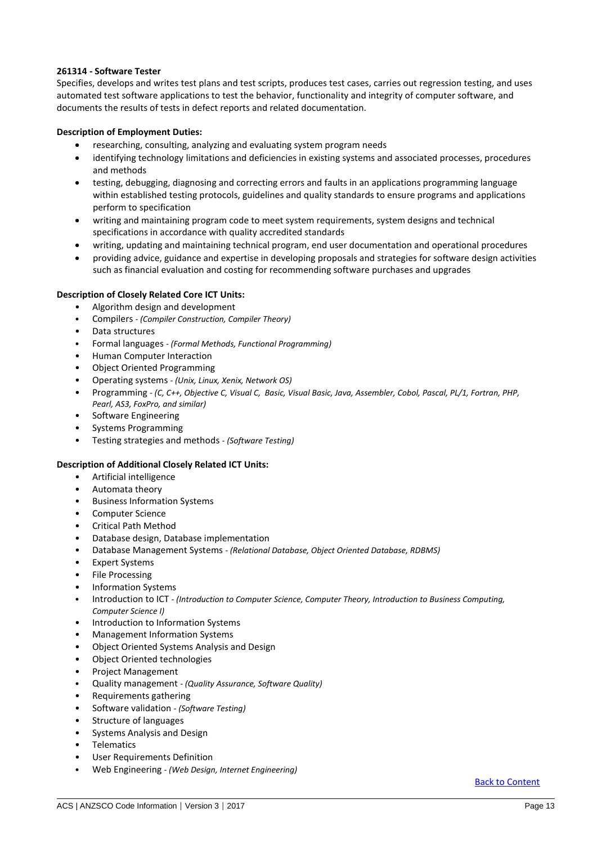# <span id="page-12-0"></span>**261314 - Software Tester**

Specifies, develops and writes test plans and test scripts, produces test cases, carries out regression testing, and uses automated test software applications to test the behavior, functionality and integrity of computer software, and documents the results of tests in defect reports and related documentation.

# **Description of Employment Duties:**

- researching, consulting, analyzing and evaluating system program needs
- identifying technology limitations and deficiencies in existing systems and associated processes, procedures and methods
- testing, debugging, diagnosing and correcting errors and faults in an applications programming language within established testing protocols, guidelines and quality standards to ensure programs and applications perform to specification
- writing and maintaining program code to meet system requirements, system designs and technical specifications in accordance with quality accredited standards
- writing, updating and maintaining technical program, end user documentation and operational procedures
- providing advice, guidance and expertise in developing proposals and strategies for software design activities such as financial evaluation and costing for recommending software purchases and upgrades

### **Description of Closely Related Core ICT Units:**

- Algorithm design and development
- Compilers *- (Compiler Construction, Compiler Theory)*
- Data structures
- Formal languages *- (Formal Methods, Functional Programming)*
- Human Computer Interaction
- Object Oriented Programming
- Operating systems *- (Unix, Linux, Xenix, Network OS)*
- Programming *- (C, C++, Objective C, Visual C, Basic, Visual Basic, Java, Assembler, Cobol, Pascal, PL/1, Fortran, PHP, Pearl, AS3, FoxPro, and similar)*
- Software Engineering
- Systems Programming
- Testing strategies and methods *- (Software Testing)*

### **Description of Additional Closely Related ICT Units:**

- Artificial intelligence
- Automata theory
- Business Information Systems
- Computer Science
- Critical Path Method
- Database design, Database implementation
- Database Management Systems *- (Relational Database, Object Oriented Database, RDBMS)*
- **Expert Systems**
- File Processing
- Information Systems
- Introduction to ICT *- (Introduction to Computer Science, Computer Theory, Introduction to Business Computing, Computer Science I)*
- Introduction to Information Systems
- Management Information Systems
- Object Oriented Systems Analysis and Design
- Object Oriented technologies
- Project Management
- Quality management *- (Quality Assurance, Software Quality)*
- Requirements gathering
- Software validation *- (Software Testing)*
- Structure of languages
- Systems Analysis and Design
- **Telematics**
- User Requirements Definition
- Web Engineering *- (Web Design, Internet Engineering)*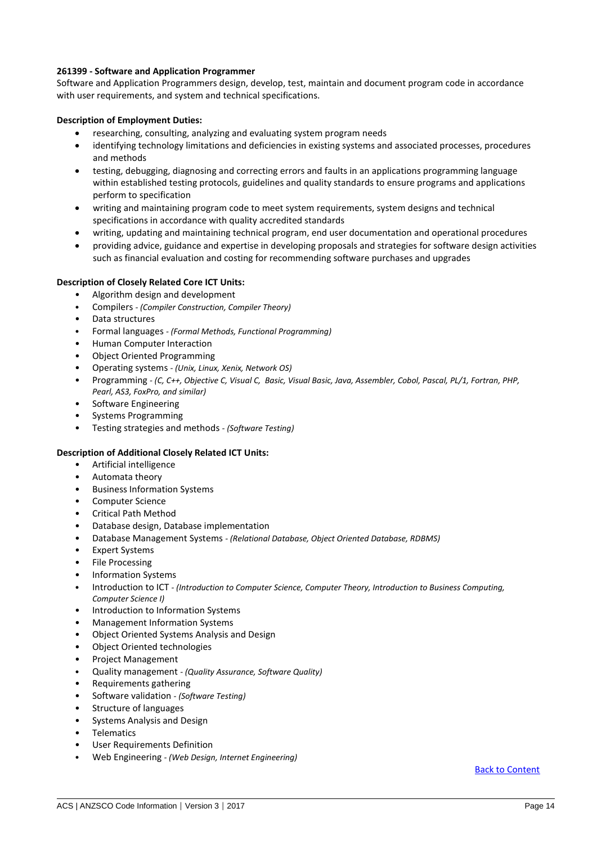# <span id="page-13-0"></span>**261399 - Software and Application Programmer**

Software and Application Programmers design, develop, test, maintain and document program code in accordance with user requirements, and system and technical specifications.

# **Description of Employment Duties:**

- researching, consulting, analyzing and evaluating system program needs
- identifying technology limitations and deficiencies in existing systems and associated processes, procedures and methods
- testing, debugging, diagnosing and correcting errors and faults in an applications programming language within established testing protocols, guidelines and quality standards to ensure programs and applications perform to specification
- writing and maintaining program code to meet system requirements, system designs and technical specifications in accordance with quality accredited standards
- writing, updating and maintaining technical program, end user documentation and operational procedures
- providing advice, guidance and expertise in developing proposals and strategies for software design activities such as financial evaluation and costing for recommending software purchases and upgrades

# **Description of Closely Related Core ICT Units:**

- Algorithm design and development
- Compilers *- (Compiler Construction, Compiler Theory)*
- Data structures
- Formal languages *- (Formal Methods, Functional Programming)*
- Human Computer Interaction
- Object Oriented Programming
- Operating systems *- (Unix, Linux, Xenix, Network OS)*
- Programming *- (C, C++, Objective C, Visual C, Basic, Visual Basic, Java, Assembler, Cobol, Pascal, PL/1, Fortran, PHP, Pearl, AS3, FoxPro, and similar)*
- Software Engineering
- Systems Programming
- Testing strategies and methods *- (Software Testing)*

# **Description of Additional Closely Related ICT Units:**

- Artificial intelligence
- Automata theory
- Business Information Systems
- Computer Science
- Critical Path Method
- Database design, Database implementation
- Database Management Systems *- (Relational Database, Object Oriented Database, RDBMS)*
- Expert Systems
- File Processing
- Information Systems
- Introduction to ICT *- (Introduction to Computer Science, Computer Theory, Introduction to Business Computing, Computer Science I)*
- Introduction to Information Systems
- Management Information Systems
- Object Oriented Systems Analysis and Design
- Object Oriented technologies
- Project Management
- Quality management *- (Quality Assurance, Software Quality)*
- Requirements gathering
- Software validation *- (Software Testing)*
- Structure of languages
- Systems Analysis and Design
- Telematics
- User Requirements Definition
- Web Engineering *- (Web Design, Internet Engineering)*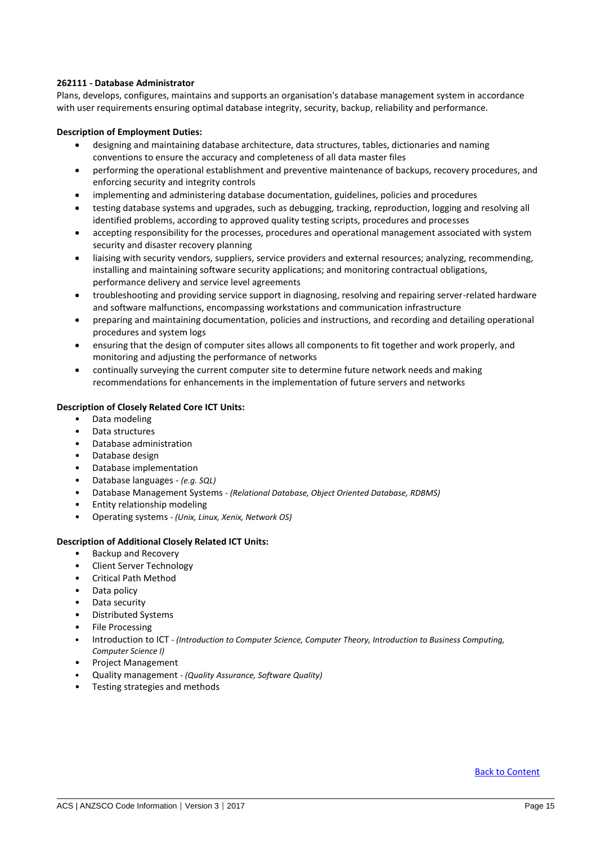### <span id="page-14-0"></span>**262111 - Database Administrator**

Plans, develops, configures, maintains and supports an organisation's database management system in accordance with user requirements ensuring optimal database integrity, security, backup, reliability and performance.

# **Description of Employment Duties:**

- designing and maintaining database architecture, data structures, tables, dictionaries and naming conventions to ensure the accuracy and completeness of all data master files
- performing the operational establishment and preventive maintenance of backups, recovery procedures, and enforcing security and integrity controls
- implementing and administering database documentation, guidelines, policies and procedures
- testing database systems and upgrades, such as debugging, tracking, reproduction, logging and resolving all identified problems, according to approved quality testing scripts, procedures and processes
- accepting responsibility for the processes, procedures and operational management associated with system security and disaster recovery planning
- liaising with security vendors, suppliers, service providers and external resources; analyzing, recommending, installing and maintaining software security applications; and monitoring contractual obligations, performance delivery and service level agreements
- troubleshooting and providing service support in diagnosing, resolving and repairing server-related hardware and software malfunctions, encompassing workstations and communication infrastructure
- preparing and maintaining documentation, policies and instructions, and recording and detailing operational procedures and system logs
- ensuring that the design of computer sites allows all components to fit together and work properly, and monitoring and adjusting the performance of networks
- continually surveying the current computer site to determine future network needs and making recommendations for enhancements in the implementation of future servers and networks

# **Description of Closely Related Core ICT Units:**

- Data modeling
- Data structures
- Database administration
- Database design
- Database implementation
- Database languages *(e.g. SQL)*
- Database Management Systems *- (Relational Database, Object Oriented Database, RDBMS)*
- Entity relationship modeling
- Operating systems *- (Unix, Linux, Xenix, Network OS)*

### **Description of Additional Closely Related ICT Units:**

- Backup and Recovery
- Client Server Technology
- Critical Path Method
- Data policy
- Data security
- Distributed Systems
- File Processing
- Introduction to ICT *- (Introduction to Computer Science, Computer Theory, Introduction to Business Computing, Computer Science I)*
- Project Management
- Quality management *- (Quality Assurance, Software Quality)*
- Testing strategies and methods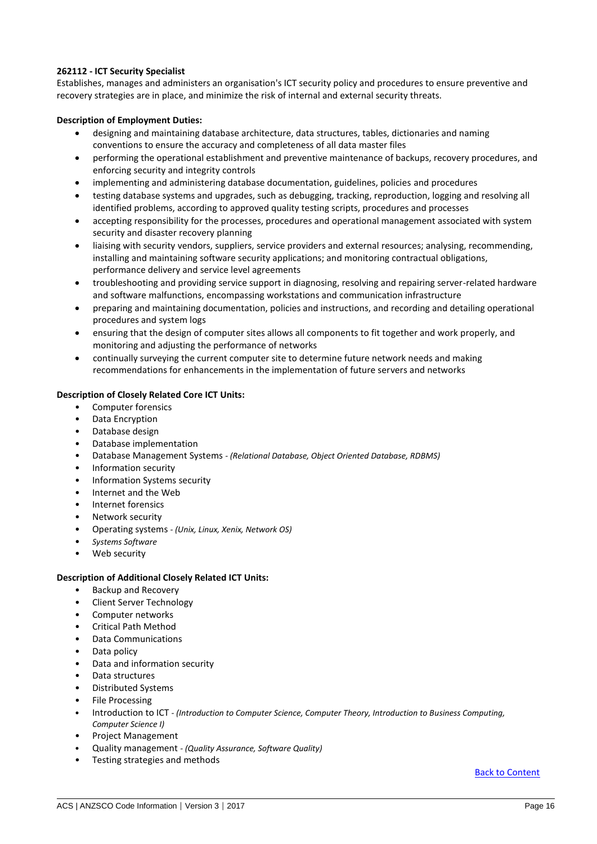# <span id="page-15-0"></span>**262112 - ICT Security Specialist**

Establishes, manages and administers an organisation's ICT security policy and procedures to ensure preventive and recovery strategies are in place, and minimize the risk of internal and external security threats.

# **Description of Employment Duties:**

- designing and maintaining database architecture, data structures, tables, dictionaries and naming conventions to ensure the accuracy and completeness of all data master files
- performing the operational establishment and preventive maintenance of backups, recovery procedures, and enforcing security and integrity controls
- implementing and administering database documentation, guidelines, policies and procedures
- testing database systems and upgrades, such as debugging, tracking, reproduction, logging and resolving all identified problems, according to approved quality testing scripts, procedures and processes
- accepting responsibility for the processes, procedures and operational management associated with system security and disaster recovery planning
- liaising with security vendors, suppliers, service providers and external resources; analysing, recommending, installing and maintaining software security applications; and monitoring contractual obligations, performance delivery and service level agreements
- troubleshooting and providing service support in diagnosing, resolving and repairing server-related hardware and software malfunctions, encompassing workstations and communication infrastructure
- preparing and maintaining documentation, policies and instructions, and recording and detailing operational procedures and system logs
- ensuring that the design of computer sites allows all components to fit together and work properly, and monitoring and adjusting the performance of networks
- continually surveying the current computer site to determine future network needs and making recommendations for enhancements in the implementation of future servers and networks

# **Description of Closely Related Core ICT Units:**

- Computer forensics
- Data Encryption
- Database design
- Database implementation
- Database Management Systems *- (Relational Database, Object Oriented Database, RDBMS)*
- Information security
- Information Systems security
- Internet and the Web
- Internet forensics
- Network security
- Operating systems *- (Unix, Linux, Xenix, Network OS)*
- *Systems Software*
- Web security

### **Description of Additional Closely Related ICT Units:**

- Backup and Recovery
- Client Server Technology
- Computer networks
- Critical Path Method
- Data Communications
- Data policy
- Data and information security
- Data structures
- Distributed Systems
- File Processing
- Introduction to ICT *- (Introduction to Computer Science, Computer Theory, Introduction to Business Computing, Computer Science I)*
- Project Management
- Quality management *- (Quality Assurance, Software Quality)*
- Testing strategies and methods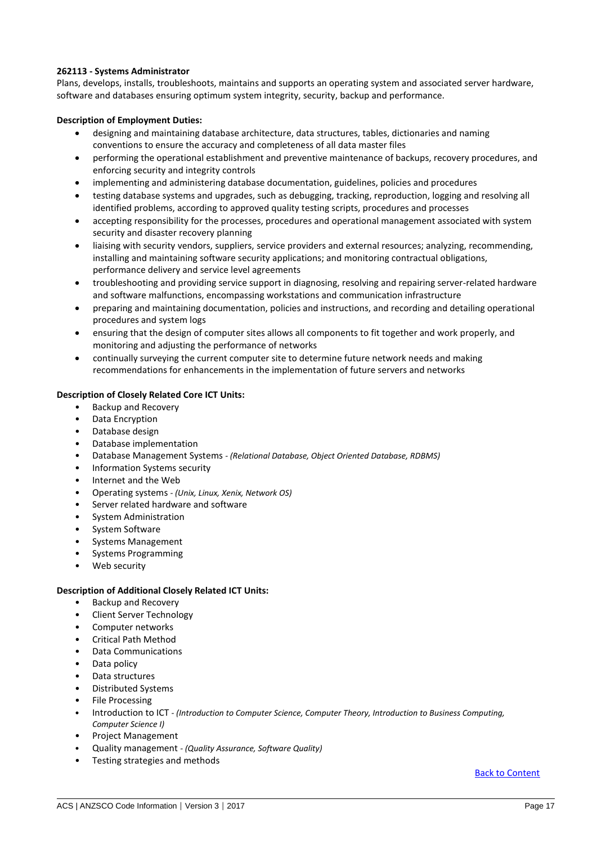# <span id="page-16-0"></span>**262113 - Systems Administrator**

Plans, develops, installs, troubleshoots, maintains and supports an operating system and associated server hardware, software and databases ensuring optimum system integrity, security, backup and performance.

### **Description of Employment Duties:**

- designing and maintaining database architecture, data structures, tables, dictionaries and naming conventions to ensure the accuracy and completeness of all data master files
- performing the operational establishment and preventive maintenance of backups, recovery procedures, and enforcing security and integrity controls
- implementing and administering database documentation, guidelines, policies and procedures
- testing database systems and upgrades, such as debugging, tracking, reproduction, logging and resolving all identified problems, according to approved quality testing scripts, procedures and processes
- accepting responsibility for the processes, procedures and operational management associated with system security and disaster recovery planning
- liaising with security vendors, suppliers, service providers and external resources; analyzing, recommending, installing and maintaining software security applications; and monitoring contractual obligations, performance delivery and service level agreements
- troubleshooting and providing service support in diagnosing, resolving and repairing server-related hardware and software malfunctions, encompassing workstations and communication infrastructure
- preparing and maintaining documentation, policies and instructions, and recording and detailing operational procedures and system logs
- ensuring that the design of computer sites allows all components to fit together and work properly, and monitoring and adjusting the performance of networks
- continually surveying the current computer site to determine future network needs and making recommendations for enhancements in the implementation of future servers and networks

# **Description of Closely Related Core ICT Units:**

- Backup and Recovery
- Data Encryption
- Database design
- Database implementation
- Database Management Systems *- (Relational Database, Object Oriented Database, RDBMS)*
- Information Systems security
- Internet and the Web
- Operating systems *- (Unix, Linux, Xenix, Network OS)*
- Server related hardware and software
- System Administration
- System Software
- Systems Management
- Systems Programming
- Web security

### **Description of Additional Closely Related ICT Units:**

- Backup and Recovery
- Client Server Technology
- Computer networks
- Critical Path Method
- Data Communications
- Data policy
- Data structures
- Distributed Systems
- File Processing
- Introduction to ICT *- (Introduction to Computer Science, Computer Theory, Introduction to Business Computing, Computer Science I)*
- Project Management
- Quality management *- (Quality Assurance, Software Quality)*
- Testing strategies and methods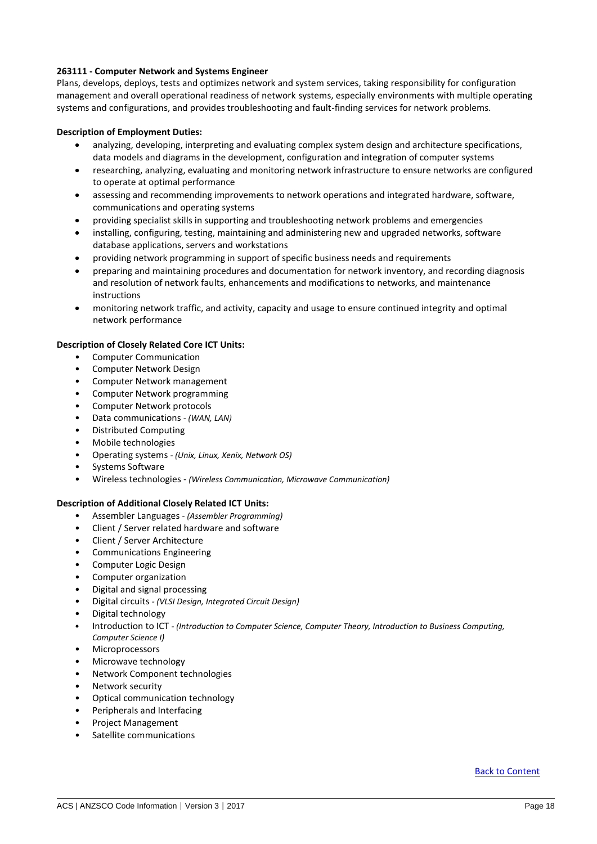# <span id="page-17-0"></span>**263111 - Computer Network and Systems Engineer**

Plans, develops, deploys, tests and optimizes network and system services, taking responsibility for configuration management and overall operational readiness of network systems, especially environments with multiple operating systems and configurations, and provides troubleshooting and fault-finding services for network problems.

# **Description of Employment Duties:**

- analyzing, developing, interpreting and evaluating complex system design and architecture specifications, data models and diagrams in the development, configuration and integration of computer systems
- researching, analyzing, evaluating and monitoring network infrastructure to ensure networks are configured to operate at optimal performance
- assessing and recommending improvements to network operations and integrated hardware, software, communications and operating systems
- providing specialist skills in supporting and troubleshooting network problems and emergencies
- installing, configuring, testing, maintaining and administering new and upgraded networks, software database applications, servers and workstations
- providing network programming in support of specific business needs and requirements
- preparing and maintaining procedures and documentation for network inventory, and recording diagnosis and resolution of network faults, enhancements and modifications to networks, and maintenance instructions
- monitoring network traffic, and activity, capacity and usage to ensure continued integrity and optimal network performance

### **Description of Closely Related Core ICT Units:**

- Computer Communication
- Computer Network Design
- Computer Network management
- Computer Network programming
- Computer Network protocols
- Data communications *- (WAN, LAN)*
- Distributed Computing
- Mobile technologies
- Operating systems *- (Unix, Linux, Xenix, Network OS)*
- Systems Software
- Wireless technologies *(Wireless Communication, Microwave Communication)*

### **Description of Additional Closely Related ICT Units:**

- Assembler Languages *- (Assembler Programming)*
- Client / Server related hardware and software
- Client / Server Architecture
- Communications Engineering
- Computer Logic Design
- Computer organization
- Digital and signal processing
- Digital circuits *- (VLSI Design, Integrated Circuit Design)*
- Digital technology
- Introduction to ICT *- (Introduction to Computer Science, Computer Theory, Introduction to Business Computing, Computer Science I)*
- Microprocessors
- Microwave technology
- Network Component technologies
- Network security
- Optical communication technology
- Peripherals and Interfacing
- Project Management
- Satellite communications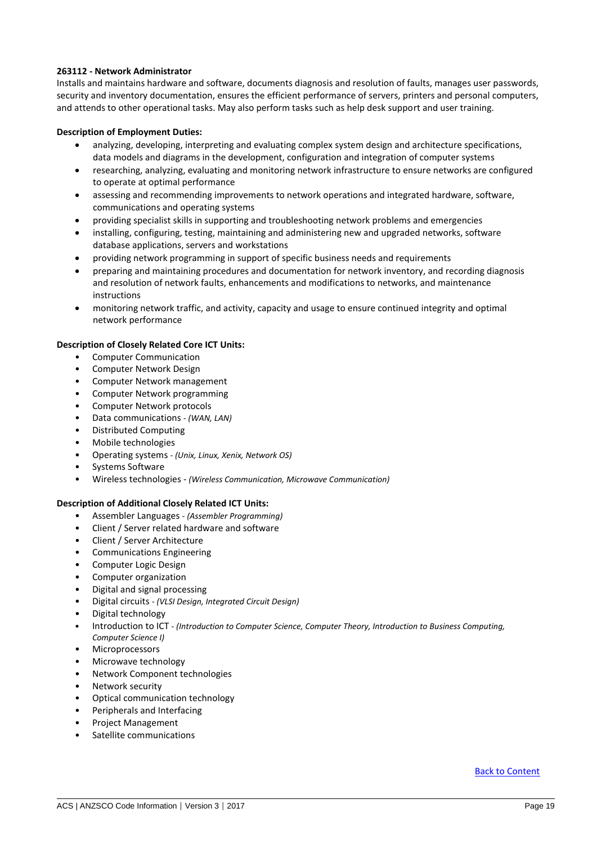# <span id="page-18-0"></span>**263112 - Network Administrator**

Installs and maintains hardware and software, documents diagnosis and resolution of faults, manages user passwords, security and inventory documentation, ensures the efficient performance of servers, printers and personal computers, and attends to other operational tasks. May also perform tasks such as help desk support and user training.

# **Description of Employment Duties:**

- analyzing, developing, interpreting and evaluating complex system design and architecture specifications, data models and diagrams in the development, configuration and integration of computer systems
- researching, analyzing, evaluating and monitoring network infrastructure to ensure networks are configured to operate at optimal performance
- assessing and recommending improvements to network operations and integrated hardware, software, communications and operating systems
- providing specialist skills in supporting and troubleshooting network problems and emergencies
- installing, configuring, testing, maintaining and administering new and upgraded networks, software database applications, servers and workstations
- providing network programming in support of specific business needs and requirements
- preparing and maintaining procedures and documentation for network inventory, and recording diagnosis and resolution of network faults, enhancements and modifications to networks, and maintenance instructions
- monitoring network traffic, and activity, capacity and usage to ensure continued integrity and optimal network performance

### **Description of Closely Related Core ICT Units:**

- Computer Communication
- Computer Network Design
- Computer Network management
- Computer Network programming
- Computer Network protocols
- Data communications *- (WAN, LAN)*
- Distributed Computing
- Mobile technologies
- Operating systems *- (Unix, Linux, Xenix, Network OS)*
- Systems Software
- Wireless technologies *(Wireless Communication, Microwave Communication)*

### **Description of Additional Closely Related ICT Units:**

- Assembler Languages *- (Assembler Programming)*
- Client / Server related hardware and software
- Client / Server Architecture
- Communications Engineering
- Computer Logic Design
- Computer organization
- Digital and signal processing
- Digital circuits *- (VLSI Design, Integrated Circuit Design)*
- Digital technology
- Introduction to ICT *- (Introduction to Computer Science, Computer Theory, Introduction to Business Computing, Computer Science I)*
- Microprocessors
- Microwave technology
- Network Component technologies
- Network security
- Optical communication technology
- Peripherals and Interfacing
- Project Management
- Satellite communications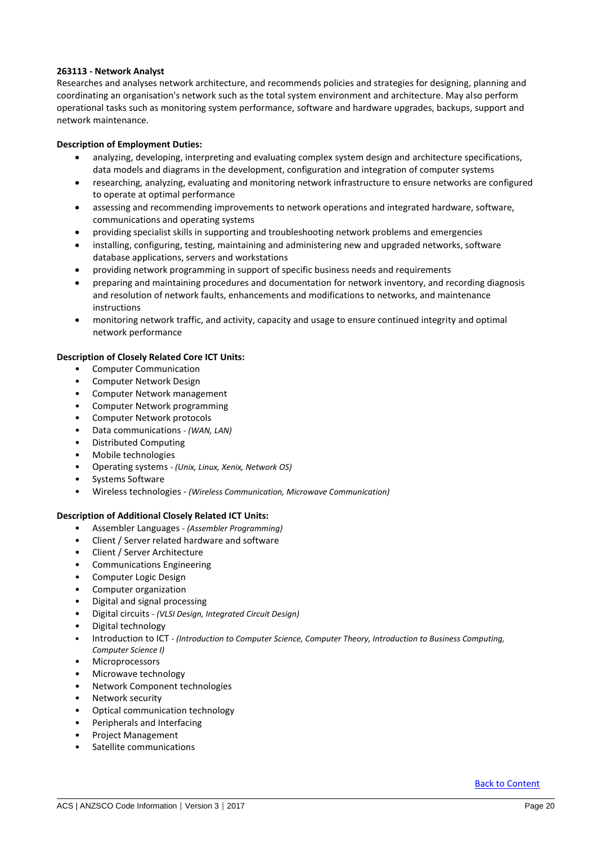# <span id="page-19-0"></span>**263113 - Network Analyst**

Researches and analyses network architecture, and recommends policies and strategies for designing, planning and coordinating an organisation's network such as the total system environment and architecture. May also perform operational tasks such as monitoring system performance, software and hardware upgrades, backups, support and network maintenance.

### **Description of Employment Duties:**

- analyzing, developing, interpreting and evaluating complex system design and architecture specifications, data models and diagrams in the development, configuration and integration of computer systems
- researching, analyzing, evaluating and monitoring network infrastructure to ensure networks are configured to operate at optimal performance
- assessing and recommending improvements to network operations and integrated hardware, software, communications and operating systems
- providing specialist skills in supporting and troubleshooting network problems and emergencies
- installing, configuring, testing, maintaining and administering new and upgraded networks, software database applications, servers and workstations
- providing network programming in support of specific business needs and requirements
- preparing and maintaining procedures and documentation for network inventory, and recording diagnosis and resolution of network faults, enhancements and modifications to networks, and maintenance instructions
- monitoring network traffic, and activity, capacity and usage to ensure continued integrity and optimal network performance

### **Description of Closely Related Core ICT Units:**

- Computer Communication
- Computer Network Design
- Computer Network management
- Computer Network programming
- Computer Network protocols
- Data communications *- (WAN, LAN)*
- Distributed Computing
- Mobile technologies
- Operating systems *- (Unix, Linux, Xenix, Network OS)*
- Systems Software
- Wireless technologies *(Wireless Communication, Microwave Communication)*

- Assembler Languages *- (Assembler Programming)*
- Client / Server related hardware and software
- Client / Server Architecture
- Communications Engineering
- Computer Logic Design
- Computer organization
- Digital and signal processing
- Digital circuits *- (VLSI Design, Integrated Circuit Design)*
- Digital technology
- Introduction to ICT *- (Introduction to Computer Science, Computer Theory, Introduction to Business Computing, Computer Science I)*
- Microprocessors
- Microwave technology
- Network Component technologies
- Network security
- Optical communication technology
- Peripherals and Interfacing
- Project Management
- Satellite communications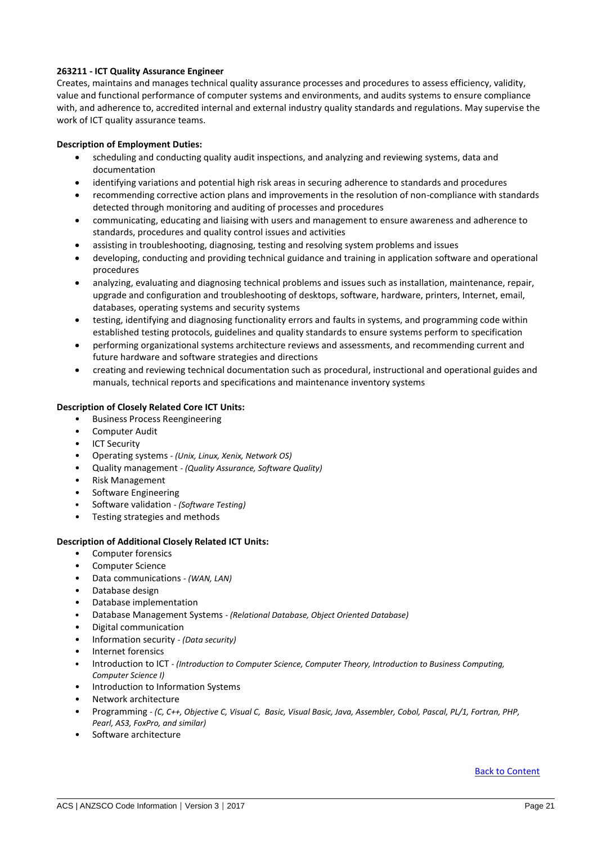# <span id="page-20-0"></span>**263211 - ICT Quality Assurance Engineer**

Creates, maintains and manages technical quality assurance processes and procedures to assess efficiency, validity, value and functional performance of computer systems and environments, and audits systems to ensure compliance with, and adherence to, accredited internal and external industry quality standards and regulations. May supervise the work of ICT quality assurance teams.

# **Description of Employment Duties:**

- scheduling and conducting quality audit inspections, and analyzing and reviewing systems, data and documentation
- identifying variations and potential high risk areas in securing adherence to standards and procedures
- recommending corrective action plans and improvements in the resolution of non-compliance with standards detected through monitoring and auditing of processes and procedures
- communicating, educating and liaising with users and management to ensure awareness and adherence to standards, procedures and quality control issues and activities
- assisting in troubleshooting, diagnosing, testing and resolving system problems and issues
- developing, conducting and providing technical guidance and training in application software and operational procedures
- analyzing, evaluating and diagnosing technical problems and issues such as installation, maintenance, repair, upgrade and configuration and troubleshooting of desktops, software, hardware, printers, Internet, email, databases, operating systems and security systems
- testing, identifying and diagnosing functionality errors and faults in systems, and programming code within established testing protocols, guidelines and quality standards to ensure systems perform to specification
- performing organizational systems architecture reviews and assessments, and recommending current and future hardware and software strategies and directions
- creating and reviewing technical documentation such as procedural, instructional and operational guides and manuals, technical reports and specifications and maintenance inventory systems

# **Description of Closely Related Core ICT Units:**

- Business Process Reengineering
- Computer Audit
- ICT Security
- Operating systems *- (Unix, Linux, Xenix, Network OS)*
- Quality management *- (Quality Assurance, Software Quality)*
- Risk Management
- Software Engineering
- Software validation *- (Software Testing)*
- Testing strategies and methods

### **Description of Additional Closely Related ICT Units:**

- Computer forensics
- Computer Science
- Data communications *- (WAN, LAN)*
- Database design
- Database implementation
- Database Management Systems *- (Relational Database, Object Oriented Database)*
- Digital communication
- Information security *- (Data security)*
- Internet forensics
- Introduction to ICT *- (Introduction to Computer Science, Computer Theory, Introduction to Business Computing, Computer Science I)*
- Introduction to Information Systems
- Network architecture
- Programming *- (C, C++, Objective C, Visual C, Basic, Visual Basic, Java, Assembler, Cobol, Pascal, PL/1, Fortran, PHP, Pearl, AS3, FoxPro, and similar)*
- Software architecture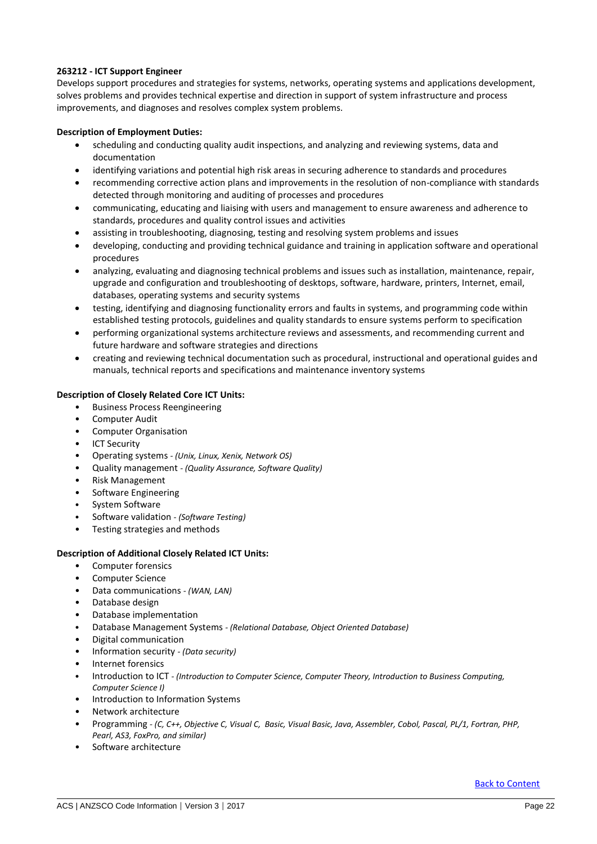# <span id="page-21-0"></span>**263212 - ICT Support Engineer**

Develops support procedures and strategies for systems, networks, operating systems and applications development, solves problems and provides technical expertise and direction in support of system infrastructure and process improvements, and diagnoses and resolves complex system problems.

# **Description of Employment Duties:**

- scheduling and conducting quality audit inspections, and analyzing and reviewing systems, data and documentation
- identifying variations and potential high risk areas in securing adherence to standards and procedures
- recommending corrective action plans and improvements in the resolution of non-compliance with standards detected through monitoring and auditing of processes and procedures
- communicating, educating and liaising with users and management to ensure awareness and adherence to standards, procedures and quality control issues and activities
- assisting in troubleshooting, diagnosing, testing and resolving system problems and issues
- developing, conducting and providing technical guidance and training in application software and operational procedures
- analyzing, evaluating and diagnosing technical problems and issues such as installation, maintenance, repair, upgrade and configuration and troubleshooting of desktops, software, hardware, printers, Internet, email, databases, operating systems and security systems
- testing, identifying and diagnosing functionality errors and faults in systems, and programming code within established testing protocols, guidelines and quality standards to ensure systems perform to specification
- performing organizational systems architecture reviews and assessments, and recommending current and future hardware and software strategies and directions
- creating and reviewing technical documentation such as procedural, instructional and operational guides and manuals, technical reports and specifications and maintenance inventory systems

# **Description of Closely Related Core ICT Units:**

- Business Process Reengineering
- Computer Audit
- Computer Organisation
- **ICT Security**
- Operating systems *- (Unix, Linux, Xenix, Network OS)*
- Quality management *- (Quality Assurance, Software Quality)*
- Risk Management
- Software Engineering
- System Software
- Software validation *- (Software Testing)*
- Testing strategies and methods

### **Description of Additional Closely Related ICT Units:**

- Computer forensics
- Computer Science
- Data communications *- (WAN, LAN)*
- Database design
- Database implementation
- Database Management Systems *- (Relational Database, Object Oriented Database)*
- Digital communication
- Information security *- (Data security)*
- Internet forensics
- Introduction to ICT *- (Introduction to Computer Science, Computer Theory, Introduction to Business Computing, Computer Science I)*
- Introduction to Information Systems
- Network architecture
- Programming *- (C, C++, Objective C, Visual C, Basic, Visual Basic, Java, Assembler, Cobol, Pascal, PL/1, Fortran, PHP, Pearl, AS3, FoxPro, and similar)*
- Software architecture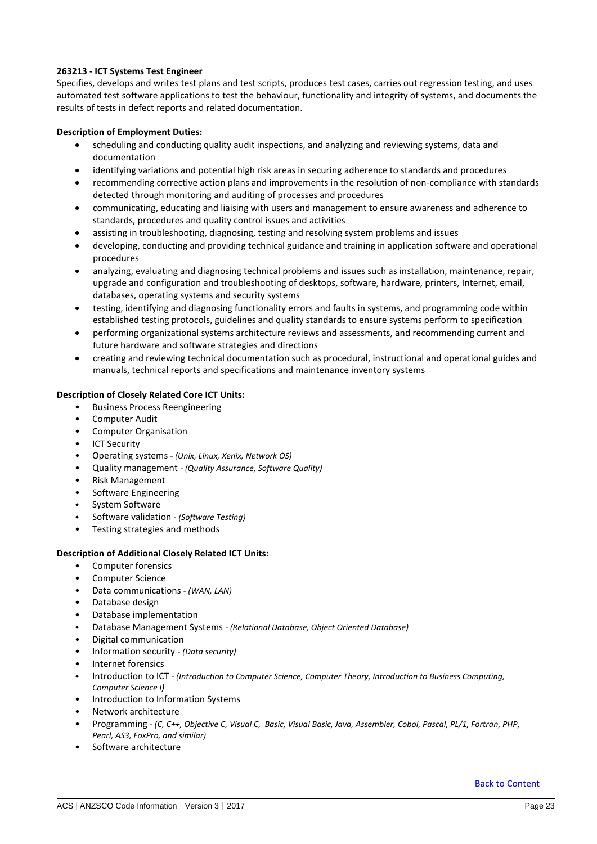# <span id="page-22-0"></span>**263213 - ICT Systems Test Engineer**

Specifies, develops and writes test plans and test scripts, produces test cases, carries out regression testing, and uses automated test software applications to test the behaviour, functionality and integrity of systems, and documents the results of tests in defect reports and related documentation.

# **Description of Employment Duties:**

- scheduling and conducting quality audit inspections, and analyzing and reviewing systems, data and documentation
- identifying variations and potential high risk areas in securing adherence to standards and procedures
- recommending corrective action plans and improvements in the resolution of non-compliance with standards detected through monitoring and auditing of processes and procedures
- communicating, educating and liaising with users and management to ensure awareness and adherence to standards, procedures and quality control issues and activities
- assisting in troubleshooting, diagnosing, testing and resolving system problems and issues
- developing, conducting and providing technical guidance and training in application software and operational procedures
- analyzing, evaluating and diagnosing technical problems and issues such as installation, maintenance, repair, upgrade and configuration and troubleshooting of desktops, software, hardware, printers, Internet, email, databases, operating systems and security systems
- testing, identifying and diagnosing functionality errors and faults in systems, and programming code within established testing protocols, guidelines and quality standards to ensure systems perform to specification
- performing organizational systems architecture reviews and assessments, and recommending current and future hardware and software strategies and directions
- creating and reviewing technical documentation such as procedural, instructional and operational guides and manuals, technical reports and specifications and maintenance inventory systems

# **Description of Closely Related Core ICT Units:**

- Business Process Reengineering
- Computer Audit
- Computer Organisation
- **ICT Security**
- Operating systems *- (Unix, Linux, Xenix, Network OS)*
- Quality management *- (Quality Assurance, Software Quality)*
- Risk Management
- Software Engineering
- System Software
- Software validation *- (Software Testing)*
- Testing strategies and methods

### **Description of Additional Closely Related ICT Units:**

- Computer forensics
- Computer Science
- Data communications *- (WAN, LAN)*
- Database design
- Database implementation
- Database Management Systems *- (Relational Database, Object Oriented Database)*
- Digital communication
- Information security *- (Data security)*
- Internet forensics
- Introduction to ICT *- (Introduction to Computer Science, Computer Theory, Introduction to Business Computing, Computer Science I)*
- Introduction to Information Systems
- Network architecture
- Programming *- (C, C++, Objective C, Visual C, Basic, Visual Basic, Java, Assembler, Cobol, Pascal, PL/1, Fortran, PHP, Pearl, AS3, FoxPro, and similar)*
- Software architecture